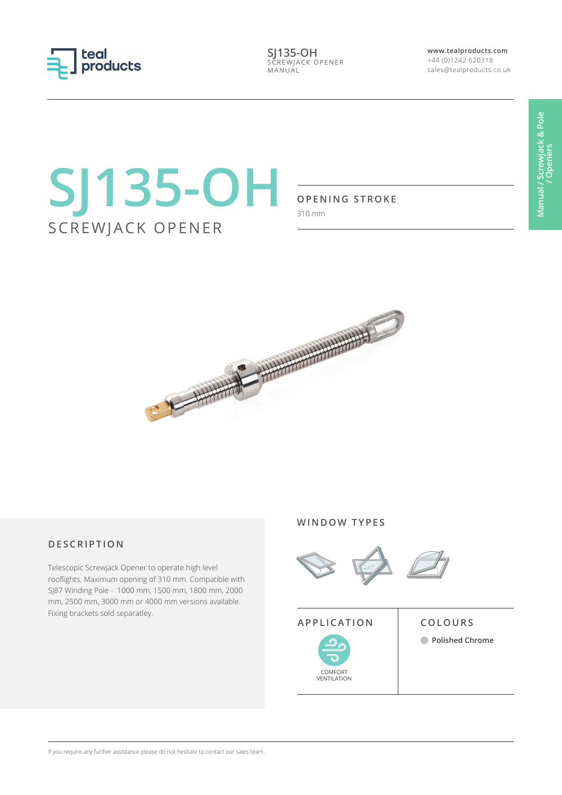

**SJ135-OH** SCREWJACK OPENER MANUAL

**www.tealproducts.com** +44 (0)1242 620318 sales@tealproducts.co.uk

# **SJ135-OH** SCREWJACK OPENER

## **OPENING STROKE**

310 mm



# **DESCRIPTION**

Telescopic Screwjack Opener to operate high level rooflights. Maximum opening of 310 mm. Compatible with SJ87 Winding Pole - 1000 mm, 1500 mm, 1800 mm, 2000 mm, 2500 mm, 3000 mm or 4000 mm versions available. Fixing brackets sold separatley.

#### **WINDOW TYPES**



# **APPLICATION COLOURS**

COMFORT VENTILATION

**Polished Chrome**